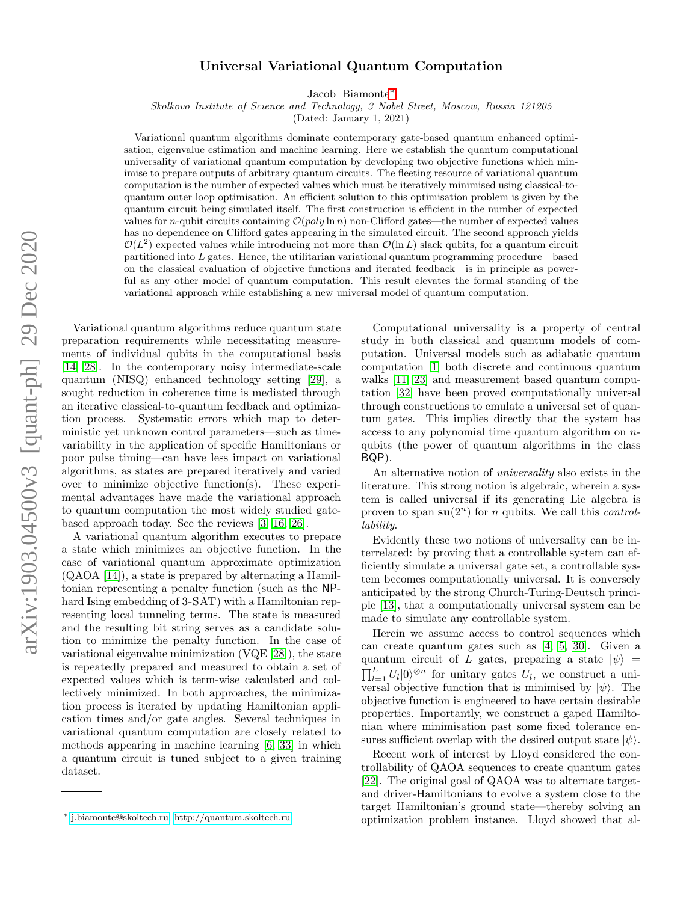# Universal Variational Quantum Computation

Jacob Biamonte[∗](#page-0-0)

Skolkovo Institute of Science and Technology, 3 Nobel Street, Moscow, Russia 121205

(Dated: January 1, 2021)

Variational quantum algorithms dominate contemporary gate-based quantum enhanced optimisation, eigenvalue estimation and machine learning. Here we establish the quantum computational universality of variational quantum computation by developing two objective functions which minimise to prepare outputs of arbitrary quantum circuits. The fleeting resource of variational quantum computation is the number of expected values which must be iteratively minimised using classical-toquantum outer loop optimisation. An efficient solution to this optimisation problem is given by the quantum circuit being simulated itself. The first construction is efficient in the number of expected values for *n*-qubit circuits containing  $\mathcal{O}(poly \ln n)$  non-Clifford gates—the number of expected values has no dependence on Clifford gates appearing in the simulated circuit. The second approach yields  $\mathcal{O}(L^2)$  expected values while introducing not more than  $\mathcal{O}(\ln L)$  slack qubits, for a quantum circuit partitioned into L gates. Hence, the utilitarian variational quantum programming procedure—based on the classical evaluation of objective functions and iterated feedback—is in principle as powerful as any other model of quantum computation. This result elevates the formal standing of the variational approach while establishing a new universal model of quantum computation.

Variational quantum algorithms reduce quantum state preparation requirements while necessitating measurements of individual qubits in the computational basis [\[14,](#page-6-0) [28\]](#page-6-1). In the contemporary noisy intermediate-scale quantum (NISQ) enhanced technology setting [\[29\]](#page-6-2), a sought reduction in coherence time is mediated through an iterative classical-to-quantum feedback and optimization process. Systematic errors which map to deterministic yet unknown control parameters—such as timevariability in the application of specific Hamiltonians or poor pulse timing—can have less impact on variational algorithms, as states are prepared iteratively and varied over to minimize objective function(s). These experimental advantages have made the variational approach to quantum computation the most widely studied gatebased approach today. See the reviews [\[3,](#page-6-3) [16,](#page-6-4) [26\]](#page-6-5).

A variational quantum algorithm executes to prepare a state which minimizes an objective function. In the case of variational quantum approximate optimization (QAOA [\[14\]](#page-6-0)), a state is prepared by alternating a Hamiltonian representing a penalty function (such as the NPhard Ising embedding of 3-SAT) with a Hamiltonian representing local tunneling terms. The state is measured and the resulting bit string serves as a candidate solution to minimize the penalty function. In the case of variational eigenvalue minimization (VQE [\[28\]](#page-6-1)), the state is repeatedly prepared and measured to obtain a set of expected values which is term-wise calculated and collectively minimized. In both approaches, the minimization process is iterated by updating Hamiltonian application times and/or gate angles. Several techniques in variational quantum computation are closely related to methods appearing in machine learning [\[6,](#page-6-6) [33\]](#page-6-7) in which a quantum circuit is tuned subject to a given training dataset.

Computational universality is a property of central study in both classical and quantum models of computation. Universal models such as adiabatic quantum computation [\[1\]](#page-5-0) both discrete and continuous quantum walks [\[11,](#page-6-8) [23\]](#page-6-9) and measurement based quantum computation [\[32\]](#page-6-10) have been proved computationally universal through constructions to emulate a universal set of quantum gates. This implies directly that the system has access to any polynomial time quantum algorithm on nqubits (the power of quantum algorithms in the class BQP).

An alternative notion of universality also exists in the literature. This strong notion is algebraic, wherein a system is called universal if its generating Lie algebra is proven to span  $su(2^n)$  for *n* qubits. We call this *control*lability.

Evidently these two notions of universality can be interrelated: by proving that a controllable system can efficiently simulate a universal gate set, a controllable system becomes computationally universal. It is conversely anticipated by the strong Church-Turing-Deutsch principle [\[13\]](#page-6-11), that a computationally universal system can be made to simulate any controllable system.

Herein we assume access to control sequences which can create quantum gates such as [\[4,](#page-6-12) [5,](#page-6-13) [30\]](#page-6-14). Given a quantum circuit of L gates, preparing a state  $|\psi\rangle$  =  $\prod_{l=1}^{L} U_l |0\rangle^{\otimes n}$  for unitary gates  $U_l$ , we construct a universal objective function that is minimised by  $|\psi\rangle$ . The objective function is engineered to have certain desirable properties. Importantly, we construct a gaped Hamiltonian where minimisation past some fixed tolerance ensures sufficient overlap with the desired output state  $|\psi\rangle$ .

Recent work of interest by Lloyd considered the controllability of QAOA sequences to create quantum gates [\[22\]](#page-6-15). The original goal of QAOA was to alternate targetand driver-Hamiltonians to evolve a system close to the target Hamiltonian's ground state—thereby solving an optimization problem instance. Lloyd showed that al-

<span id="page-0-0"></span><sup>∗</sup> [j.biamonte@skoltech.ru;](mailto:j.biamonte@skoltech.ru)<http://quantum.skoltech.ru>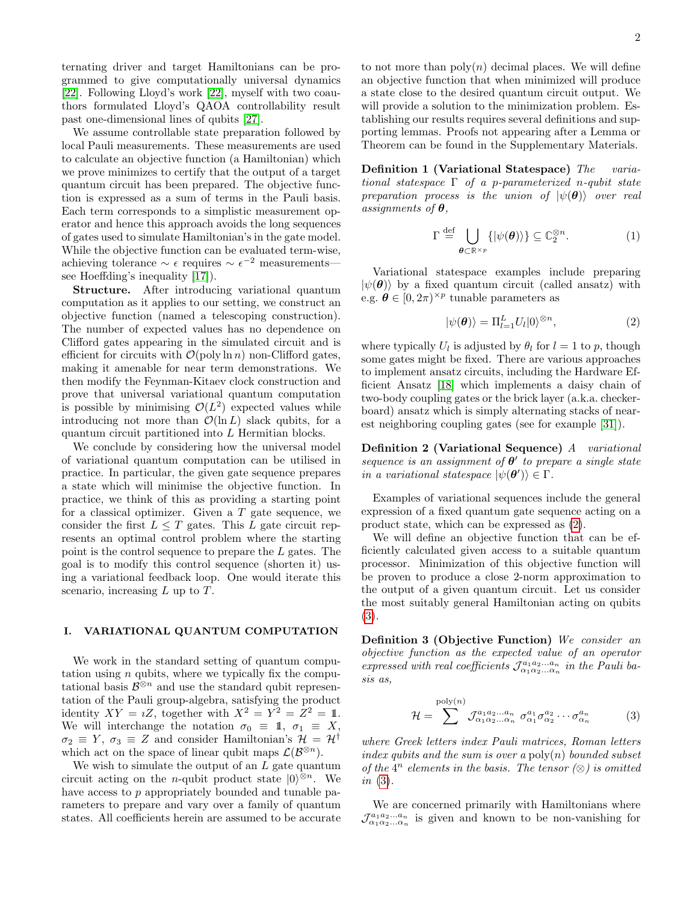ternating driver and target Hamiltonians can be programmed to give computationally universal dynamics [\[22\]](#page-6-15). Following Lloyd's work [\[22\]](#page-6-15), myself with two coauthors formulated Lloyd's QAOA controllability result past one-dimensional lines of qubits [\[27\]](#page-6-16).

We assume controllable state preparation followed by local Pauli measurements. These measurements are used to calculate an objective function (a Hamiltonian) which we prove minimizes to certify that the output of a target quantum circuit has been prepared. The objective function is expressed as a sum of terms in the Pauli basis. Each term corresponds to a simplistic measurement operator and hence this approach avoids the long sequences of gates used to simulate Hamiltonian's in the gate model. While the objective function can be evaluated term-wise, achieving tolerance  $\sim \epsilon$  requires  $\sim \epsilon^{-2}$  measurements see Hoeffding's inequality [\[17\]](#page-6-17)).

Structure. After introducing variational quantum computation as it applies to our setting, we construct an objective function (named a telescoping construction). The number of expected values has no dependence on Clifford gates appearing in the simulated circuit and is efficient for circuits with  $\mathcal{O}(\text{poly}\ln n)$  non-Clifford gates, making it amenable for near term demonstrations. We then modify the Feynman-Kitaev clock construction and prove that universal variational quantum computation is possible by minimising  $\mathcal{O}(L^2)$  expected values while introducing not more than  $\mathcal{O}(\ln L)$  slack qubits, for a quantum circuit partitioned into L Hermitian blocks.

We conclude by considering how the universal model of variational quantum computation can be utilised in practice. In particular, the given gate sequence prepares a state which will minimise the objective function. In practice, we think of this as providing a starting point for a classical optimizer. Given a  $T$  gate sequence, we consider the first  $L \leq T$  gates. This L gate circuit represents an optimal control problem where the starting point is the control sequence to prepare the L gates. The goal is to modify this control sequence (shorten it) using a variational feedback loop. One would iterate this scenario, increasing  $L$  up to  $T$ .

# I. VARIATIONAL QUANTUM COMPUTATION

We work in the standard setting of quantum computation using  $n$  qubits, where we typically fix the computational basis  $\mathcal{B}^{\otimes n}$  and use the standard qubit representation of the Pauli group-algebra, satisfying the product identity  $XY = iZ$ , together with  $X^2 = Y^2 = Z^2 = 1$ . We will interchange the notation  $\sigma_0 \equiv 1, \sigma_1 \equiv X$ ,  $\sigma_2 \equiv Y, \sigma_3 \equiv Z$  and consider Hamiltonian's  $\mathcal{H} = \mathcal{H}^{\dagger}$ which act on the space of linear qubit maps  $\mathcal{L}(\mathcal{B}^{\otimes n})$ .

We wish to simulate the output of an  $L$  gate quantum circuit acting on the *n*-qubit product state  $|0\rangle^{\otimes n}$ . We have access to p appropriately bounded and tunable parameters to prepare and vary over a family of quantum states. All coefficients herein are assumed to be accurate to not more than  $poly(n)$  decimal places. We will define an objective function that when minimized will produce a state close to the desired quantum circuit output. We will provide a solution to the minimization problem. Establishing our results requires several definitions and supporting lemmas. Proofs not appearing after a Lemma or Theorem can be found in the Supplementary Materials.

Definition 1 (Variational Statespace) The variational statespace  $\Gamma$  of a p-parameterized n-qubit state preparation process is the union of  $|\psi(\theta)\rangle$  over real assignments of  $\theta$ .

$$
\Gamma \stackrel{\text{def}}{=} \bigcup_{\boldsymbol{\theta} \subset \mathbb{R}^{\times p}} \{ |\psi(\boldsymbol{\theta})\rangle \} \subseteq \mathbb{C}_2^{\otimes n}.
$$
 (1)

Variational statespace examples include preparing  $|\psi(\theta)\rangle$  by a fixed quantum circuit (called ansatz) with e.g.  $\hat{\boldsymbol{\theta}} \in [0, 2\pi)^{\times p}$  tunable parameters as

<span id="page-1-0"></span>
$$
|\psi(\boldsymbol{\theta})\rangle = \Pi_{l=1}^{L} U_{l} |0\rangle^{\otimes n},\tag{2}
$$

where typically  $U_l$  is adjusted by  $\theta_l$  for  $l = 1$  to p, though some gates might be fixed. There are various approaches to implement ansatz circuits, including the Hardware Efficient Ansatz [\[18\]](#page-6-18) which implements a daisy chain of two-body coupling gates or the brick layer (a.k.a. checkerboard) ansatz which is simply alternating stacks of nearest neighboring coupling gates (see for example [\[31\]](#page-6-19)).

Definition 2 (Variational Sequence) A variational sequence is an assignment of  $\theta'$  to prepare a single state in a variational statespace  $|\psi(\theta')\rangle \in \Gamma$ .

Examples of variational sequences include the general expression of a fixed quantum gate sequence acting on a product state, which can be expressed as [\(2\)](#page-1-0).

We will define an objective function that can be efficiently calculated given access to a suitable quantum processor. Minimization of this objective function will be proven to produce a close 2-norm approximation to the output of a given quantum circuit. Let us consider the most suitably general Hamiltonian acting on qubits [\(3\)](#page-1-1).

Definition 3 (Objective Function) We consider an objective function as the expected value of an operator expressed with real coefficients  $\mathcal{J}_{\alpha_1\alpha_2...\alpha_n}^{a_1a_2...a_n}$  in the Pauli basis as,

<span id="page-1-1"></span>
$$
\mathcal{H} = \sum_{n=1}^{\text{poly}(n)} \mathcal{J}^{a_1 a_2 \dots a_n}_{\alpha_1 \alpha_2 \dots \alpha_n} \sigma^{a_1}_{\alpha_1} \sigma^{a_2}_{\alpha_2} \cdots \sigma^{a_n}_{\alpha_n} \tag{3}
$$

where Greek letters index Pauli matrices, Roman letters index qubits and the sum is over a  $\operatorname{poly}(n)$  bounded subset of the  $4^n$  elements in the basis. The tensor  $(\otimes)$  is omitted in  $(3)$ .

We are concerned primarily with Hamiltonians where  $\mathcal{J}_{\alpha_1\alpha_2...\alpha_n}^{a_1a_2...a_n}$  is given and known to be non-vanishing for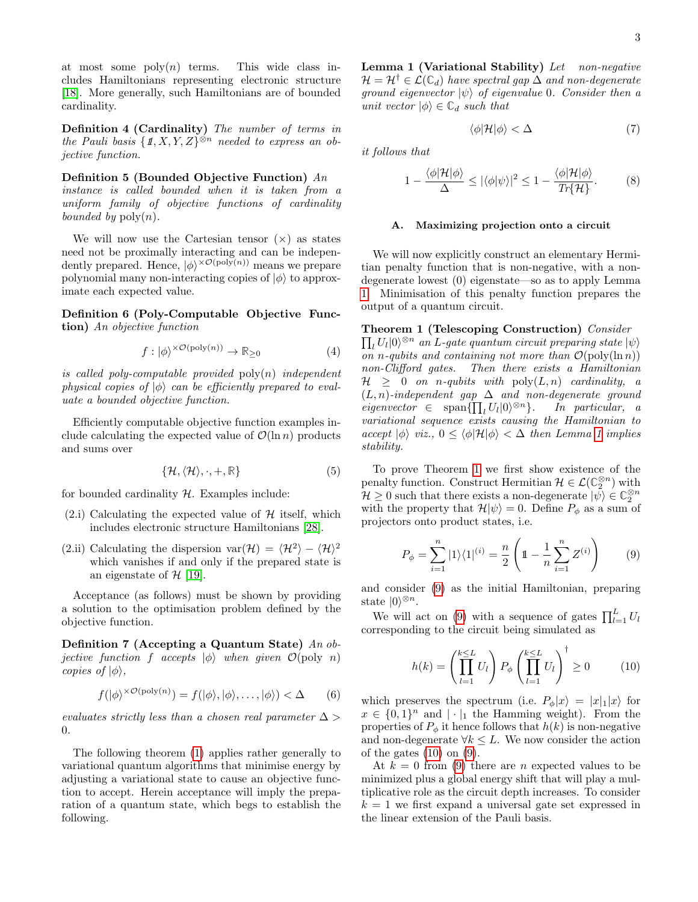at most some  $\text{poly}(n)$  terms. This wide class includes Hamiltonians representing electronic structure [\[18\]](#page-6-18). More generally, such Hamiltonians are of bounded cardinality.

Definition 4 (Cardinality) The number of terms in the Pauli basis  $\{\mathbb{1}, X, Y, Z\}^{\otimes n}$  needed to express an objective function.

Definition 5 (Bounded Objective Function) An instance is called bounded when it is taken from a uniform family of objective functions of cardinality bounded by  $\text{poly}(n)$ .

We will now use the Cartesian tensor  $(x)$  as states need not be proximally interacting and can be independently prepared. Hence,  $|\phi\rangle^{\times\mathcal{O}(\text{poly}(n))}$  means we prepare polynomial many non-interacting copies of  $|\phi\rangle$  to approximate each expected value.

Definition 6 (Poly-Computable Objective Function) An objective function

$$
f : |\phi\rangle^{\times \mathcal{O}(\text{poly}(n))} \to \mathbb{R}_{\geq 0} \tag{4}
$$

is called poly-computable provided  $\text{poly}(n)$  independent physical copies of  $|\phi\rangle$  can be efficiently prepared to evaluate a bounded objective function.

Efficiently computable objective function examples include calculating the expected value of  $\mathcal{O}(\ln n)$  products and sums over

$$
\{\mathcal{H}, \langle \mathcal{H} \rangle, \cdot, +, \mathbb{R}\}\tag{5}
$$

for bounded cardinality  $H$ . Examples include:

- $(2.1)$  Calculating the expected value of H itself, which includes electronic structure Hamiltonians [\[28\]](#page-6-1).
- (2.ii) Calculating the dispersion var $(\mathcal{H}) = \langle \mathcal{H}^2 \rangle \langle \mathcal{H} \rangle^2$ which vanishes if and only if the prepared state is an eigenstate of  $H$  [\[19\]](#page-6-20).

Acceptance (as follows) must be shown by providing a solution to the optimisation problem defined by the objective function.

Definition 7 (Accepting a Quantum State) An objective function f accepts  $|\phi\rangle$  when given  $\mathcal{O}(\text{poly } n)$ copies of  $|\phi\rangle$ ,

$$
f(|\phi\rangle^{\times \mathcal{O}(\text{poly}(n))} = f(|\phi\rangle, |\phi\rangle, \dots, |\phi\rangle) < \Delta \tag{6}
$$

evaluates strictly less than a chosen real parameter  $\Delta >$ 0.

<span id="page-2-0"></span>The following theorem [\(1\)](#page-2-0) applies rather generally to variational quantum algorithms that minimise energy by adjusting a variational state to cause an objective function to accept. Herein acceptance will imply the preparation of a quantum state, which begs to establish the following.

Lemma 1 (Variational Stability) Let non-negative  $\mathcal{H} = \mathcal{H}^{\dagger} \in \mathcal{L}(\mathbb{C}_d)$  have spectral gap  $\Delta$  and non-degenerate ground eigenvector  $|\psi\rangle$  of eigenvalue 0. Consider then a unit vector  $|\phi\rangle \in \mathbb{C}_d$  such that

$$
\langle \phi | \mathcal{H} | \phi \rangle < \Delta \tag{7}
$$

it follows that

$$
1 - \frac{\langle \phi | \mathcal{H} | \phi \rangle}{\Delta} \le |\langle \phi | \psi \rangle|^2 \le 1 - \frac{\langle \phi | \mathcal{H} | \phi \rangle}{Tr \{\mathcal{H}\}}.
$$
 (8)

### A. Maximizing projection onto a circuit

We will now explicitly construct an elementary Hermitian penalty function that is non-negative, with a nondegenerate lowest (0) eigenstate—so as to apply Lemma [1.](#page-2-0) Minimisation of this penalty function prepares the output of a quantum circuit.

<span id="page-2-1"></span>Theorem 1 (Telescoping Construction) Consider

 $\prod_{l}U_{l}|0\rangle ^{\otimes n}$  an L-gate quantum circuit preparing state  $|\psi\rangle$ on n-qubits and containing not more than  $\mathcal{O}(\text{poly}(\ln n))$ non-Clifford gates. Then there exists a Hamiltonian  $H > 0$  on n-qubits with  $\text{poly}(L,n)$  cardinality, a  $(L, n)$ -independent gap  $\Delta$  and non-degenerate ground  $eigenvector \in \text{span}\{\prod_{l}U_{l}|0\rangle^{\otimes n}\}. \text{ In particular, a}$ variational sequence exists causing the Hamiltonian to accept  $|\phi\rangle$  viz.,  $0 \le \langle \phi | \mathcal{H} | \phi \rangle < \Delta$  then Lemma [1](#page-2-0) implies stability.

To prove Theorem [1](#page-2-1) we first show existence of the penalty function. Construct Hermitian  $\mathcal{H} \in \mathcal{L}(\mathbb{C}_2^{\otimes n})$  with  $\mathcal{H} \geq 0$  such that there exists a non-degenerate  $|\psi\rangle \in \mathbb{C}_2^{\otimes n}$ with the property that  $\mathcal{H}|\psi\rangle = 0$ . Define  $P_{\phi}$  as a sum of projectors onto product states, i.e.

<span id="page-2-2"></span>
$$
P_{\phi} = \sum_{i=1}^{n} |1\rangle\langle 1|^{(i)} = \frac{n}{2} \left( 1 - \frac{1}{n} \sum_{i=1}^{n} Z^{(i)} \right) \tag{9}
$$

and consider [\(9\)](#page-2-2) as the initial Hamiltonian, preparing state  $|0\rangle^{\otimes n}$ .

We will act on [\(9\)](#page-2-2) with a sequence of gates  $\prod_{l=1}^{L} U_l$ corresponding to the circuit being simulated as

<span id="page-2-3"></span>
$$
h(k) = \left(\prod_{l=1}^{k \le L} U_l\right) P_{\phi} \left(\prod_{l=1}^{k \le L} U_l\right)^{\dagger} \ge 0 \tag{10}
$$

which preserves the spectrum (i.e.  $P_{\phi}|x\rangle = |x|_1|x\rangle$  for  $x \in \{0,1\}^n$  and  $|\cdot|_1$  the Hamming weight). From the properties of  $P_{\phi}$  it hence follows that  $h(k)$  is non-negative and non-degenerate  $\forall k \leq L$ . We now consider the action of the gates  $(10)$  on  $(9)$ .

At  $k = 0$  from [\(9\)](#page-2-2) there are *n* expected values to be minimized plus a global energy shift that will play a multiplicative role as the circuit depth increases. To consider  $k = 1$  we first expand a universal gate set expressed in the linear extension of the Pauli basis.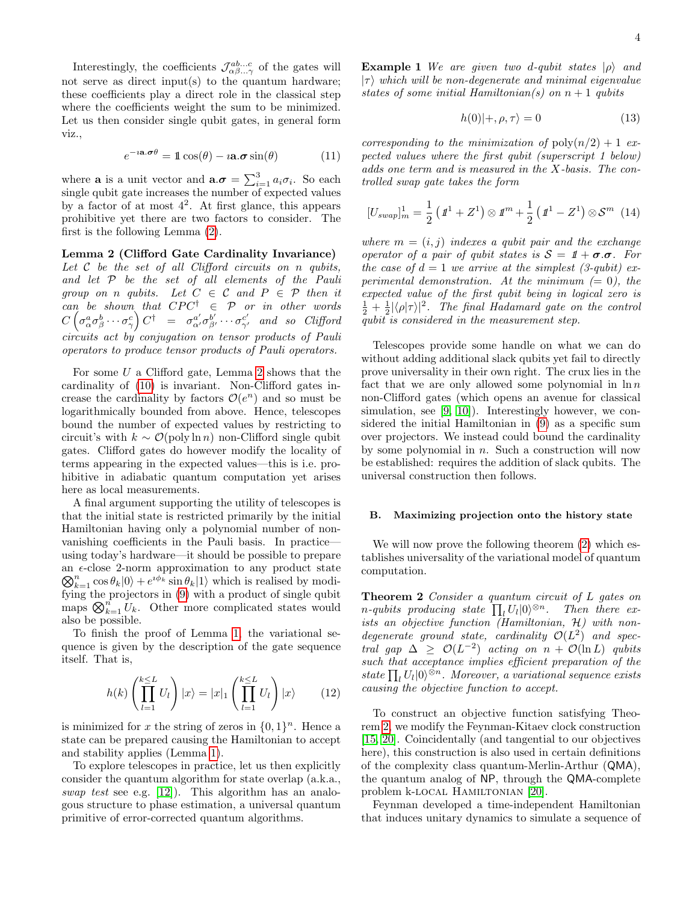Interestingly, the coefficients  $\mathcal{J}_{\alpha\beta...\gamma}^{ab...c}$  of the gates will not serve as direct input(s) to the quantum hardware; these coefficients play a direct role in the classical step where the coefficients weight the sum to be minimized. Let us then consider single qubit gates, in general form viz.,

$$
e^{-i\mathbf{a}.\boldsymbol{\sigma}\theta} = 1\cos(\theta) - i\mathbf{a}.\boldsymbol{\sigma}\sin(\theta) \tag{11}
$$

where **a** is a unit vector and  $\mathbf{a}.\boldsymbol{\sigma} = \sum_{i=1}^{3} a_i \sigma_i$ . So each single qubit gate increases the number of expected values by a factor of at most  $4^2$ . At first glance, this appears prohibitive yet there are two factors to consider. The first is the following Lemma [\(2\)](#page-3-0).

<span id="page-3-0"></span>Lemma 2 (Clifford Gate Cardinality Invariance) Let  $C$  be the set of all Clifford circuits on n qubits, and let P be the set of all elements of the Pauli group on n qubits. Let  $C \in \mathcal{C}$  and  $P \in \mathcal{P}$  then it can be shown that  $CPC^{\dagger} \in \mathcal{P}$  or in other words  $C\left(\sigma^a_{\alpha}\sigma^b_{\beta}\cdots\sigma^c_{\gamma}\right)C^{\dagger}$  =  $\sigma^{a'}_{\alpha'}\sigma^{b'}_{\beta'}\cdots\sigma^{c'}_{\gamma'}$  and so Clifford circuits act by conjugation on tensor products of Pauli operators to produce tensor products of Pauli operators.

For some U a Clifford gate, Lemma [2](#page-3-0) shows that the cardinality of [\(10\)](#page-2-3) is invariant. Non-Clifford gates increase the cardinality by factors  $\mathcal{O}(e^n)$  and so must be logarithmically bounded from above. Hence, telescopes bound the number of expected values by restricting to circuit's with  $k \sim \mathcal{O}(\text{poly}\ln n)$  non-Clifford single qubit gates. Clifford gates do however modify the locality of terms appearing in the expected values—this is i.e. prohibitive in adiabatic quantum computation yet arises here as local measurements.

A final argument supporting the utility of telescopes is that the initial state is restricted primarily by the initial Hamiltonian having only a polynomial number of nonvanishing coefficients in the Pauli basis. In practice using today's hardware—it should be possible to prepare an  $\epsilon$ -close 2-norm approximation to any product state an  $\epsilon$ -close 2-norm approximation to any product state<br>  $\bigotimes_{k=1}^{n} \cos \theta_k |0\rangle + e^{i\phi_k} \sin \theta_k |1\rangle$  which is realised by modifying the projectors in [\(9\)](#page-2-2) with a product of single qubit maps  $\bigotimes_{k=1}^{n} U_k$ . Other more complicated states would also be possible.

To finish the proof of Lemma [1,](#page-2-1) the variational sequence is given by the description of the gate sequence itself. That is,

$$
h(k)\left(\prod_{l=1}^{k\leq L} U_l\right)|x\rangle = |x|_1 \left(\prod_{l=1}^{k\leq L} U_l\right)|x\rangle \qquad (12)
$$

is minimized for x the string of zeros in  $\{0,1\}^n$ . Hence a state can be prepared causing the Hamiltonian to accept and stability applies (Lemma [1\)](#page-2-0).

To explore telescopes in practice, let us then explicitly consider the quantum algorithm for state overlap (a.k.a., swap test see e.g. [\[12\]](#page-6-21)). This algorithm has an analogous structure to phase estimation, a universal quantum primitive of error-corrected quantum algorithms.

**Example 1** We are given two d-qubit states  $|\rho\rangle$  and  $|\tau\rangle$  which will be non-degenerate and minimal eigenvalue states of some initial Hamiltonian(s) on  $n + 1$  qubits

$$
h(0)|+,\rho,\tau\rangle = 0\tag{13}
$$

corresponding to the minimization of  $\text{poly}(n/2) + 1$  expected values where the first qubit (superscript 1 below) adds one term and is measured in the X-basis. The controlled swap gate takes the form

$$
[U_{swap}]_m^1 = \frac{1}{2} \left( \mathbf{1}^1 + Z^1 \right) \otimes \mathbf{1}^m + \frac{1}{2} \left( \mathbf{1}^1 - Z^1 \right) \otimes \mathcal{S}^m \tag{14}
$$

where  $m = (i, j)$  indexes a qubit pair and the exchange operator of a pair of qubit states is  $S = 1 + \sigma \sigma$ . For the case of  $d = 1$  we arrive at the simplest (3-qubit) experimental demonstration. At the minimum  $(= 0)$ , the expected value of the first qubit being in logical zero is  $\frac{1}{2} + \frac{1}{2} |\langle \rho | \tau \rangle|^2$ . The final Hadamard gate on the control qubit is considered in the measurement step.

Telescopes provide some handle on what we can do without adding additional slack qubits yet fail to directly prove universality in their own right. The crux lies in the fact that we are only allowed some polynomial in  $\ln n$ non-Clifford gates (which opens an avenue for classical simulation, see [\[9,](#page-6-22) [10\]](#page-6-23)). Interestingly however, we considered the initial Hamiltonian in [\(9\)](#page-2-2) as a specific sum over projectors. We instead could bound the cardinality by some polynomial in  $n$ . Such a construction will now be established: requires the addition of slack qubits. The universal construction then follows.

### B. Maximizing projection onto the history state

We will now prove the following theorem [\(2\)](#page-3-1) which establishes universality of the variational model of quantum computation.

<span id="page-3-1"></span>**Theorem 2** Consider a quantum circuit of L gates on *n*-qubits producing state  $\prod_l U_l |0\rangle^{\otimes n}$ . Then there exists an objective function (Hamiltonian, H) with nondegenerate ground state, cardinality  $\mathcal{O}(L^2)$  and spectral gap  $\Delta \geq \mathcal{O}(L^{-2})$  acting on  $n + \mathcal{O}(\ln L)$  qubits such that acceptance implies efficient preparation of the state  $\prod_l U_l |0\rangle^{\otimes n}$ . Moreover, a variational sequence exists causing the objective function to accept.

To construct an objective function satisfying Theorem [2,](#page-3-1) we modify the Feynman-Kitaev clock construction [\[15,](#page-6-24) [20\]](#page-6-25). Coincidentally (and tangential to our objectives here), this construction is also used in certain definitions of the complexity class quantum-Merlin-Arthur (QMA), the quantum analog of NP, through the QMA-complete problem k-LOCAL HAMILTONIAN [\[20\]](#page-6-25).

Feynman developed a time-independent Hamiltonian that induces unitary dynamics to simulate a sequence of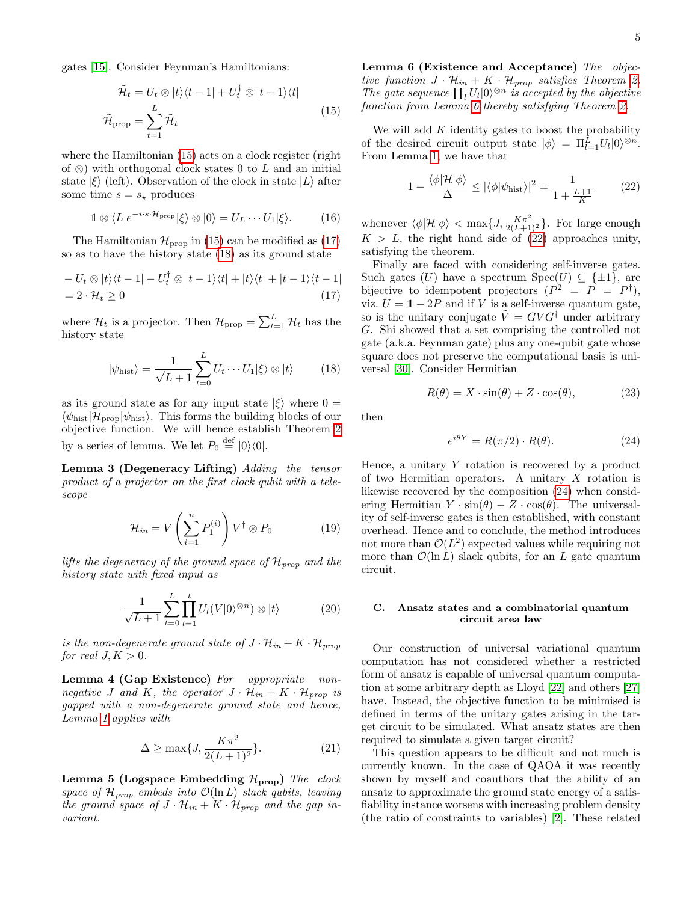<span id="page-4-0"></span>gates [\[15\]](#page-6-24). Consider Feynman's Hamiltonians:

$$
\tilde{\mathcal{H}}_t = U_t \otimes |t\rangle\langle t-1| + U_t^{\dagger} \otimes |t-1\rangle\langle t|
$$
\n
$$
\tilde{\mathcal{H}}_{\text{prop}} = \sum_{t=1}^{L} \tilde{\mathcal{H}}_t
$$
\n(15)

where the Hamiltonian [\(15\)](#page-4-0) acts on a clock register (right of  $\otimes$ ) with orthogonal clock states 0 to L and an initial state  $|\xi\rangle$  (left). Observation of the clock in state  $|L\rangle$  after some time  $s = s_*$  produces

$$
1 \otimes \langle L|e^{-i \cdot s \cdot \mathcal{H}_{\text{prop}}}|\xi\rangle \otimes |0\rangle = U_L \cdots U_1|\xi\rangle. \tag{16}
$$

The Hamiltonian  $\mathcal{H}_{\text{prop}}$  in [\(15\)](#page-4-0) can be modified as [\(17\)](#page-4-1) so as to have the history state [\(18\)](#page-4-2) as its ground state

$$
-U_t \otimes |t\rangle\langle t-1| - U_t^{\dagger} \otimes |t-1\rangle\langle t| + |t\rangle\langle t| + |t-1\rangle\langle t-1|
$$
  
= 2 \cdot \mathcal{H}\_t \ge 0 (17)

where  $\mathcal{H}_t$  is a projector. Then  $\mathcal{H}_{\text{prop}} = \sum_{t=1}^L \mathcal{H}_t$  has the history state

<span id="page-4-2"></span>
$$
|\psi_{\text{hist}}\rangle = \frac{1}{\sqrt{L+1}} \sum_{t=0}^{L} U_t \cdots U_1 |\xi\rangle \otimes |t\rangle \qquad (18)
$$

as its ground state as for any input state  $|\xi\rangle$  where  $0 =$  $\langle \psi_{\text{hist}}|\mathcal{H}_{\text{prop}}|\psi_{\text{hist}}\rangle$ . This forms the building blocks of our objective function. We will hence establish Theorem [2](#page-3-1) by a series of lemma. We let  $P_0 \stackrel{\text{def}}{=} |0\rangle\langle 0|$ .

<span id="page-4-6"></span>Lemma 3 (Degeneracy Lifting) Adding the tensor product of a projector on the first clock qubit with a telescope

$$
\mathcal{H}_{in} = V\left(\sum_{i=1}^{n} P_1^{(i)}\right) V^{\dagger} \otimes P_0 \tag{19}
$$

lifts the degeneracy of the ground space of  $\mathcal{H}_{prop}$  and the history state with fixed input as

$$
\frac{1}{\sqrt{L+1}}\sum_{t=0}^{L}\prod_{l=1}^{t}U_{l}(V|0\rangle^{\otimes n})\otimes|t\rangle \qquad (20)
$$

is the non-degenerate ground state of  $J \cdot \mathcal{H}_{in} + K \cdot \mathcal{H}_{prop}$ for real  $J, K > 0$ .

<span id="page-4-7"></span>Lemma 4 (Gap Existence) For appropriate nonnegative J and K, the operator  $J \cdot \mathcal{H}_{in} + K \cdot \mathcal{H}_{prop}$  is gapped with a non-degenerate ground state and hence, Lemma [1](#page-2-0) applies with

$$
\Delta \ge \max\{J, \frac{K\pi^2}{2(L+1)^2}\}.
$$
\n(21)

<span id="page-4-8"></span><span id="page-4-3"></span>Lemma 5 (Logspace Embedding  $\mathcal{H}_{\text{prop}}$ ) The clock space of  $\mathcal{H}_{prop}$  embeds into  $\mathcal{O}(\ln L)$  slack qubits, leaving the ground space of  $J \cdot \mathcal{H}_{in} + K \cdot \mathcal{H}_{prop}$  and the gap invariant.

Lemma 6 (Existence and Acceptance) The objective function  $J \cdot \mathcal{H}_{in} + K \cdot \mathcal{H}_{prop}$  satisfies Theorem [2.](#page-3-1) The gate sequence  $\prod_l U_l |0\rangle^{\otimes n}$  is accepted by the objective function from Lemma [6](#page-4-3) thereby satisfying Theorem [2.](#page-3-1)

We will add  $K$  identity gates to boost the probability of the desired circuit output state  $|\phi\rangle = \Pi_{l=1}^L U_l |0\rangle^{\otimes n}$ . From Lemma [1,](#page-2-0) we have that

<span id="page-4-4"></span>
$$
1 - \frac{\langle \phi | \mathcal{H} | \phi \rangle}{\Delta} \le |\langle \phi | \psi_{\text{hist}} \rangle|^2 = \frac{1}{1 + \frac{L+1}{K}} \tag{22}
$$

whenever  $\langle \phi | \mathcal{H} | \phi \rangle < \max\{J, \frac{K\pi^2}{2(L+1)^2}\}.$  For large enough  $K > L$ , the right hand side of [\(22\)](#page-4-4) approaches unity, satisfying the theorem.

<span id="page-4-1"></span>Finally are faced with considering self-inverse gates. Such gates (U) have a spectrum  $Spec(U) \subseteq {\pm 1}$ , are bijective to idempotent projectors  $(P^2 = P = P^{\dagger}),$ viz.  $U = 1 - 2P$  and if V is a self-inverse quantum gate, so is the unitary conjugate  $\tilde{V} = G V G^{\dagger}$  under arbitrary G. Shi showed that a set comprising the controlled not gate (a.k.a. Feynman gate) plus any one-qubit gate whose square does not preserve the computational basis is universal [\[30\]](#page-6-14). Consider Hermitian

$$
R(\theta) = X \cdot \sin(\theta) + Z \cdot \cos(\theta), \tag{23}
$$

then

<span id="page-4-5"></span>
$$
e^{i\theta Y} = R(\pi/2) \cdot R(\theta). \tag{24}
$$

Hence, a unitary  $Y$  rotation is recovered by a product of two Hermitian operators. A unitary X rotation is likewise recovered by the composition [\(24\)](#page-4-5) when considering Hermitian  $Y \cdot \sin(\theta) - Z \cdot \cos(\theta)$ . The universality of self-inverse gates is then established, with constant overhead. Hence and to conclude, the method introduces not more than  $\mathcal{O}(L^2)$  expected values while requiring not more than  $\mathcal{O}(\ln L)$  slack qubits, for an L gate quantum circuit.

# C. Ansatz states and a combinatorial quantum circuit area law

Our construction of universal variational quantum computation has not considered whether a restricted form of ansatz is capable of universal quantum computation at some arbitrary depth as Lloyd [\[22\]](#page-6-15) and others [\[27\]](#page-6-16) have. Instead, the objective function to be minimised is defined in terms of the unitary gates arising in the target circuit to be simulated. What ansatz states are then required to simulate a given target circuit?

This question appears to be difficult and not much is currently known. In the case of QAOA it was recently shown by myself and coauthors that the ability of an ansatz to approximate the ground state energy of a satisfiability instance worsens with increasing problem density (the ratio of constraints to variables) [\[2\]](#page-5-1). These related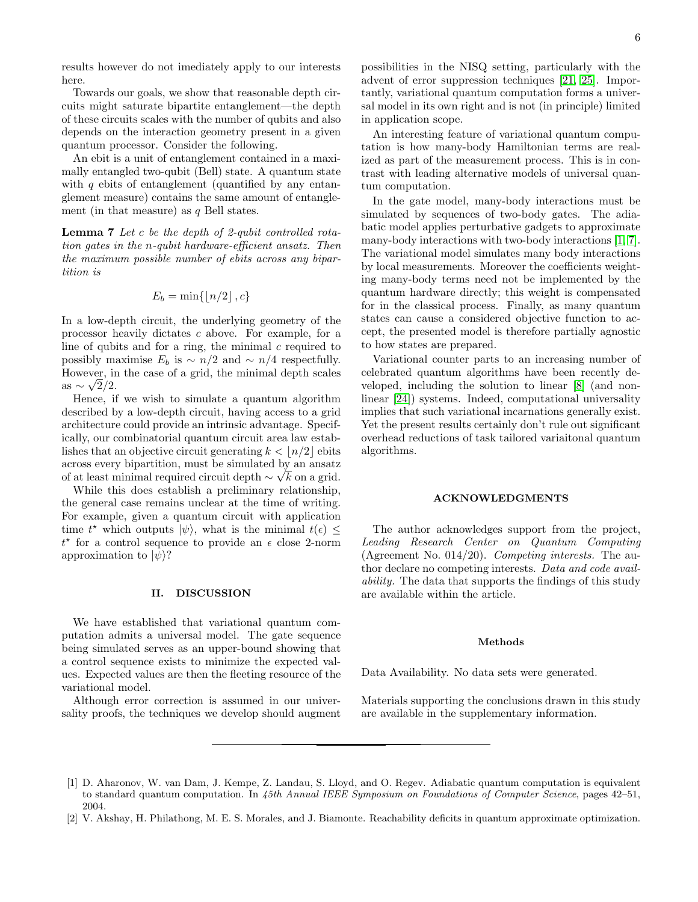results however do not imediately apply to our interests here.

Towards our goals, we show that reasonable depth circuits might saturate bipartite entanglement—the depth of these circuits scales with the number of qubits and also depends on the interaction geometry present in a given quantum processor. Consider the following.

An ebit is a unit of entanglement contained in a maximally entangled two-qubit (Bell) state. A quantum state with  $q$  ebits of entanglement (quantified by any entanglement measure) contains the same amount of entanglement (in that measure) as  $q$  Bell states.

**Lemma 7** Let c be the depth of 2-qubit controlled rotation gates in the n-qubit hardware-efficient ansatz. Then the maximum possible number of ebits across any bipartition is

$$
E_b = \min\{\lfloor n/2 \rfloor, c\}
$$

In a low-depth circuit, the underlying geometry of the processor heavily dictates c above. For example, for a line of qubits and for a ring, the minimal  $c$  required to possibly maximise  $E_b$  is  $\sim n/2$  and  $\sim n/4$  respectfully. However, in the case of a grid, the minimal depth scales as  $\sim \sqrt{2/2}$ .

Hence, if we wish to simulate a quantum algorithm described by a low-depth circuit, having access to a grid architecture could provide an intrinsic advantage. Specifically, our combinatorial quantum circuit area law establishes that an objective circuit generating  $k < \lfloor n/2 \rfloor$  ebits across every bipartition, must be simulated by an ansatz of at least minimal required circuit depth  $\sim \sqrt{k}$  on a grid.

While this does establish a preliminary relationship, the general case remains unclear at the time of writing. For example, given a quantum circuit with application time  $t^*$  which outputs  $|\psi\rangle$ , what is the minimal  $t(\epsilon) \leq$  $t^*$  for a control sequence to provide an  $\epsilon$  close 2-norm approximation to  $|\psi\rangle$ ?

### II. DISCUSSION

We have established that variational quantum computation admits a universal model. The gate sequence being simulated serves as an upper-bound showing that a control sequence exists to minimize the expected values. Expected values are then the fleeting resource of the variational model.

Although error correction is assumed in our universality proofs, the techniques we develop should augment possibilities in the NISQ setting, particularly with the advent of error suppression techniques [\[21,](#page-6-26) [25\]](#page-6-27). Importantly, variational quantum computation forms a universal model in its own right and is not (in principle) limited in application scope.

An interesting feature of variational quantum computation is how many-body Hamiltonian terms are realized as part of the measurement process. This is in contrast with leading alternative models of universal quantum computation.

In the gate model, many-body interactions must be simulated by sequences of two-body gates. The adiabatic model applies perturbative gadgets to approximate many-body interactions with two-body interactions [\[1,](#page-5-0) [7\]](#page-6-28). The variational model simulates many body interactions by local measurements. Moreover the coefficients weighting many-body terms need not be implemented by the quantum hardware directly; this weight is compensated for in the classical process. Finally, as many quantum states can cause a considered objective function to accept, the presented model is therefore partially agnostic to how states are prepared.

Variational counter parts to an increasing number of celebrated quantum algorithms have been recently developed, including the solution to linear [\[8\]](#page-6-29) (and nonlinear [\[24\]](#page-6-30)) systems. Indeed, computational universality implies that such variational incarnations generally exist. Yet the present results certainly don't rule out significant overhead reductions of task tailored variaitonal quantum algorithms.

#### ACKNOWLEDGMENTS

The author acknowledges support from the project, Leading Research Center on Quantum Computing (Agreement No.  $0.014/20$ ). *Competing interests*. The author declare no competing interests. Data and code availability. The data that supports the findings of this study are available within the article.

#### Methods

Data Availability. No data sets were generated.

Materials supporting the conclusions drawn in this study are available in the supplementary information.

<span id="page-5-0"></span><sup>[1]</sup> D. Aharonov, W. van Dam, J. Kempe, Z. Landau, S. Lloyd, and O. Regev. Adiabatic quantum computation is equivalent to standard quantum computation. In 45th Annual IEEE Symposium on Foundations of Computer Science, pages 42-51, 2004.

<span id="page-5-1"></span><sup>[2]</sup> V. Akshay, H. Philathong, M. E. S. Morales, and J. Biamonte. Reachability deficits in quantum approximate optimization.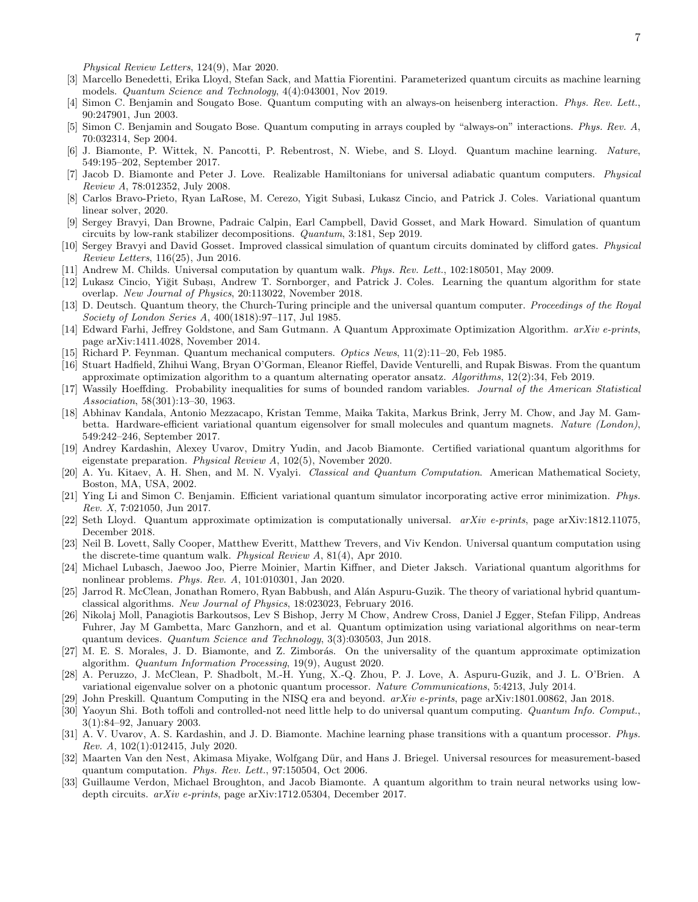Physical Review Letters, 124(9), Mar 2020.

- <span id="page-6-3"></span>[3] Marcello Benedetti, Erika Lloyd, Stefan Sack, and Mattia Fiorentini. Parameterized quantum circuits as machine learning models. Quantum Science and Technology, 4(4):043001, Nov 2019.
- <span id="page-6-12"></span>[4] Simon C. Benjamin and Sougato Bose. Quantum computing with an always-on heisenberg interaction. Phys. Rev. Lett., 90:247901, Jun 2003.
- <span id="page-6-13"></span>[5] Simon C. Benjamin and Sougato Bose. Quantum computing in arrays coupled by "always-on" interactions. Phys. Rev. A, 70:032314, Sep 2004.
- <span id="page-6-6"></span>[6] J. Biamonte, P. Wittek, N. Pancotti, P. Rebentrost, N. Wiebe, and S. Lloyd. Quantum machine learning. Nature, 549:195–202, September 2017.
- <span id="page-6-28"></span>[7] Jacob D. Biamonte and Peter J. Love. Realizable Hamiltonians for universal adiabatic quantum computers. Physical Review A, 78:012352, July 2008.
- <span id="page-6-29"></span>[8] Carlos Bravo-Prieto, Ryan LaRose, M. Cerezo, Yigit Subasi, Lukasz Cincio, and Patrick J. Coles. Variational quantum linear solver, 2020.
- <span id="page-6-22"></span>[9] Sergey Bravyi, Dan Browne, Padraic Calpin, Earl Campbell, David Gosset, and Mark Howard. Simulation of quantum circuits by low-rank stabilizer decompositions. Quantum, 3:181, Sep 2019.
- <span id="page-6-23"></span>[10] Sergey Bravyi and David Gosset. Improved classical simulation of quantum circuits dominated by clifford gates. Physical Review Letters, 116(25), Jun 2016.
- <span id="page-6-8"></span>[11] Andrew M. Childs. Universal computation by quantum walk. Phys. Rev. Lett., 102:180501, May 2009.
- <span id="page-6-21"></span>[12] Lukasz Cincio, Yiğit Subaşı, Andrew T. Sornborger, and Patrick J. Coles. Learning the quantum algorithm for state overlap. New Journal of Physics, 20:113022, November 2018.
- <span id="page-6-11"></span>[13] D. Deutsch. Quantum theory, the Church-Turing principle and the universal quantum computer. Proceedings of the Royal Society of London Series A, 400(1818):97–117, Jul 1985.
- <span id="page-6-0"></span>[14] Edward Farhi, Jeffrey Goldstone, and Sam Gutmann. A Quantum Approximate Optimization Algorithm. arXiv e-prints, page arXiv:1411.4028, November 2014.
- <span id="page-6-24"></span>[15] Richard P. Feynman. Quantum mechanical computers. Optics News, 11(2):11–20, Feb 1985.
- <span id="page-6-4"></span>[16] Stuart Hadfield, Zhihui Wang, Bryan O'Gorman, Eleanor Rieffel, Davide Venturelli, and Rupak Biswas. From the quantum approximate optimization algorithm to a quantum alternating operator ansatz. Algorithms, 12(2):34, Feb 2019.
- <span id="page-6-17"></span>[17] Wassily Hoeffding. Probability inequalities for sums of bounded random variables. Journal of the American Statistical Association, 58(301):13–30, 1963.
- <span id="page-6-18"></span>[18] Abhinav Kandala, Antonio Mezzacapo, Kristan Temme, Maika Takita, Markus Brink, Jerry M. Chow, and Jay M. Gambetta. Hardware-efficient variational quantum eigensolver for small molecules and quantum magnets. Nature (London), 549:242–246, September 2017.
- <span id="page-6-20"></span>[19] Andrey Kardashin, Alexey Uvarov, Dmitry Yudin, and Jacob Biamonte. Certified variational quantum algorithms for eigenstate preparation. Physical Review A, 102(5), November 2020.
- <span id="page-6-25"></span>[20] A. Yu. Kitaev, A. H. Shen, and M. N. Vyalyi. Classical and Quantum Computation. American Mathematical Society, Boston, MA, USA, 2002.
- <span id="page-6-26"></span>[21] Ying Li and Simon C. Benjamin. Efficient variational quantum simulator incorporating active error minimization. Phys. Rev. X, 7:021050, Jun 2017.
- <span id="page-6-15"></span>[22] Seth Lloyd. Quantum approximate optimization is computationally universal. arXiv e-prints, page arXiv:1812.11075, December 2018.
- <span id="page-6-9"></span>[23] Neil B. Lovett, Sally Cooper, Matthew Everitt, Matthew Trevers, and Viv Kendon. Universal quantum computation using the discrete-time quantum walk. Physical Review A, 81(4), Apr 2010.
- <span id="page-6-30"></span>[24] Michael Lubasch, Jaewoo Joo, Pierre Moinier, Martin Kiffner, and Dieter Jaksch. Variational quantum algorithms for nonlinear problems. Phys. Rev. A, 101:010301, Jan 2020.
- <span id="page-6-27"></span>[25] Jarrod R. McClean, Jonathan Romero, Ryan Babbush, and Alán Aspuru-Guzik. The theory of variational hybrid quantumclassical algorithms. New Journal of Physics, 18:023023, February 2016.
- <span id="page-6-5"></span>[26] Nikolaj Moll, Panagiotis Barkoutsos, Lev S Bishop, Jerry M Chow, Andrew Cross, Daniel J Egger, Stefan Filipp, Andreas Fuhrer, Jay M Gambetta, Marc Ganzhorn, and et al. Quantum optimization using variational algorithms on near-term quantum devices. Quantum Science and Technology, 3(3):030503, Jun 2018.
- <span id="page-6-16"></span>[27] M. E. S. Morales, J. D. Biamonte, and Z. Zimborás. On the universality of the quantum approximate optimization algorithm. Quantum Information Processing, 19(9), August 2020.
- <span id="page-6-1"></span>[28] A. Peruzzo, J. McClean, P. Shadbolt, M.-H. Yung, X.-Q. Zhou, P. J. Love, A. Aspuru-Guzik, and J. L. O'Brien. A variational eigenvalue solver on a photonic quantum processor. Nature Communications, 5:4213, July 2014.
- <span id="page-6-2"></span>[29] John Preskill. Quantum Computing in the NISQ era and beyond. arXiv e-prints, page arXiv:1801.00862, Jan 2018.
- <span id="page-6-14"></span>[30] Yaoyun Shi. Both toffoli and controlled-not need little help to do universal quantum computing. Quantum Info. Comput., 3(1):84–92, January 2003.
- <span id="page-6-19"></span>[31] A. V. Uvarov, A. S. Kardashin, and J. D. Biamonte. Machine learning phase transitions with a quantum processor. Phys. Rev. A, 102(1):012415, July 2020.
- <span id="page-6-10"></span>[32] Maarten Van den Nest, Akimasa Miyake, Wolfgang Dür, and Hans J. Briegel. Universal resources for measurement-based quantum computation. Phys. Rev. Lett., 97:150504, Oct 2006.
- <span id="page-6-7"></span>[33] Guillaume Verdon, Michael Broughton, and Jacob Biamonte. A quantum algorithm to train neural networks using lowdepth circuits. arXiv e-prints, page arXiv:1712.05304, December 2017.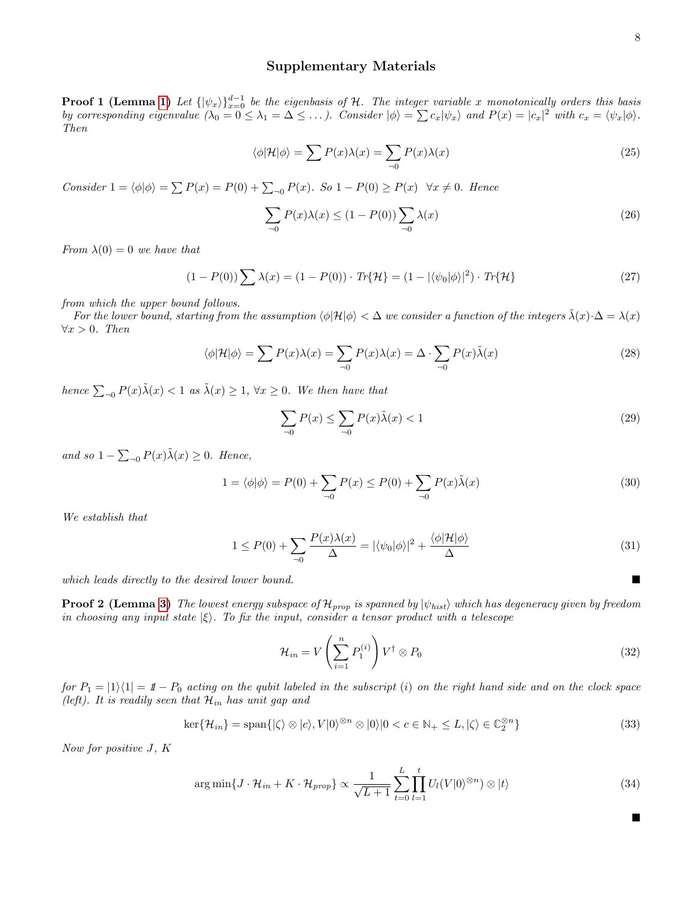# Supplementary Materials

**Proof 1 (Lemma [1\)](#page-2-0)** Let  $\{|\psi_x\rangle\}_{x=0}^{d-1}$  be the eigenbasis of H. The integer variable x monotonically orders this basis by corresponding eigenvalue  $(\lambda_0 = 0 \le \lambda_1 = \Delta \le \dots)$ . Consider  $|\phi\rangle = \sum c_x |\psi_x\rangle$  and  $P(x) = |c_x|^2$  with  $c_x = \langle \psi_x | \phi \rangle$ . Then

$$
\langle \phi | \mathcal{H} | \phi \rangle = \sum P(x) \lambda(x) = \sum_{\neg 0} P(x) \lambda(x) \tag{25}
$$

Consider  $1 = \langle \phi | \phi \rangle = \sum P(x) = P(0) + \sum_{\neg 0} P(x)$ . So  $1 - P(0) \ge P(x) \quad \forall x \neq 0$ . Hence

$$
\sum_{\neg 0} P(x)\lambda(x) \le (1 - P(0)) \sum_{\neg 0} \lambda(x) \tag{26}
$$

From  $\lambda(0) = 0$  we have that

$$
(1 - P(0)) \sum \lambda(x) = (1 - P(0)) \cdot Tr{\mathcal{H}} = (1 - |\langle \psi_0 | \phi \rangle|^2) \cdot Tr{\mathcal{H}}
$$
\n(27)

from which the upper bound follows.

For the lower bound, starting from the assumption  $\langle \phi | \mathcal{H} | \phi \rangle < \Delta$  we consider a function of the integers  $\lambda(x) \cdot \Delta = \lambda(x)$  $\forall x > 0$ . Then

$$
\langle \phi | \mathcal{H} | \phi \rangle = \sum P(x) \lambda(x) = \sum_{0} P(x) \lambda(x) = \Delta \cdot \sum_{0} P(x) \tilde{\lambda}(x) \tag{28}
$$

hence  $\sum_{\neg 0} P(x)\tilde{\lambda}(x) < 1$  as  $\tilde{\lambda}(x) \geq 1$ ,  $\forall x \geq 0$ . We then have that

$$
\sum_{\neg 0} P(x) \le \sum_{\neg 0} P(x)\tilde{\lambda}(x) < 1 \tag{29}
$$

and so  $1 - \sum_{n=0}^{\infty} P(x)\tilde{\lambda}(x) \geq 0$ . Hence,

$$
1 = \langle \phi | \phi \rangle = P(0) + \sum_{\neg 0} P(x) \le P(0) + \sum_{\neg 0} P(x) \tilde{\lambda}(x) \tag{30}
$$

We establish that

$$
1 \le P(0) + \sum_{\neg 0} \frac{P(x)\lambda(x)}{\Delta} = |\langle \psi_0 | \phi \rangle|^2 + \frac{\langle \phi | \mathcal{H} | \phi \rangle}{\Delta} \tag{31}
$$

which leads directly to the desired lower bound.

**Proof 2 (Lemma [3\)](#page-4-6)** The lowest energy subspace of  $\mathcal{H}_{prop}$  is spanned by  $|\psi_{hist}\rangle$  which has degeneracy given by freedom in choosing any input state  $|\xi\rangle$ . To fix the input, consider a tensor product with a telescope

$$
\mathcal{H}_{in} = V\left(\sum_{i=1}^{n} P_1^{(i)}\right) V^{\dagger} \otimes P_0 \tag{32}
$$

for  $P_1 = |1\rangle\langle 1| = 1 - P_0$  acting on the qubit labeled in the subscript (i) on the right hand side and on the clock space (left). It is readily seen that  $\mathcal{H}_{in}$  has unit gap and

$$
\ker\{\mathcal{H}_{in}\} = \text{span}\{|\zeta\rangle \otimes |c\rangle, V|0\rangle^{\otimes n} \otimes |0\rangle|0 < c \in \mathbb{N}_+ \leq L, |\zeta\rangle \in \mathbb{C}_2^{\otimes n}\}\tag{33}
$$

Now for positive J, K

$$
\arg\min\{J \cdot \mathcal{H}_{in} + K \cdot \mathcal{H}_{prop}\} \propto \frac{1}{\sqrt{L+1}} \sum_{t=0}^{L} \prod_{l=1}^{t} U_l(V|0\rangle^{\otimes n}) \otimes |t\rangle \tag{34}
$$

 $\blacksquare$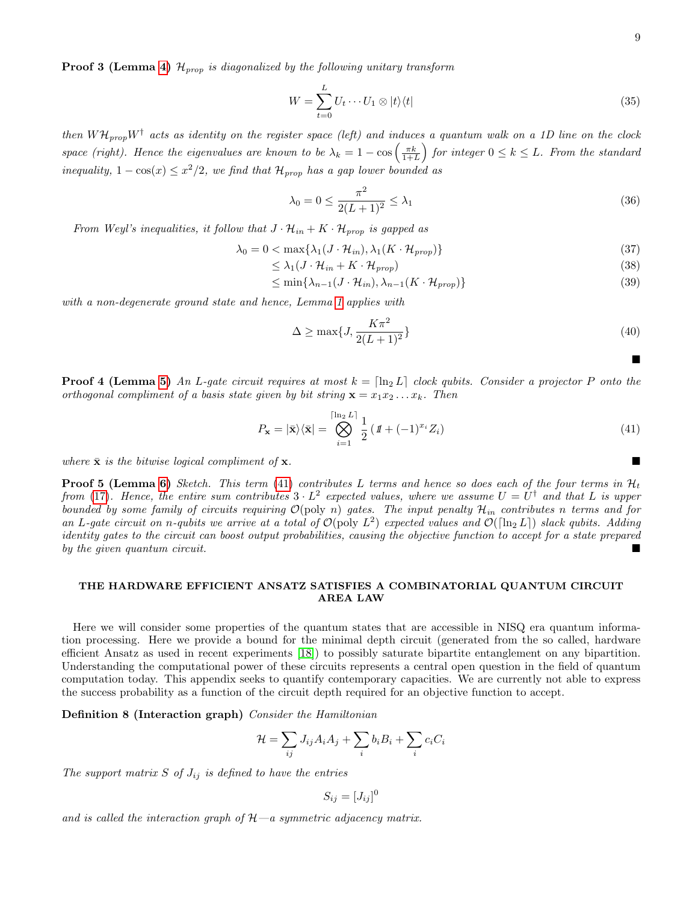$\blacksquare$ 

**Proof 3 (Lemma [4\)](#page-4-7)**  $\mathcal{H}_{prop}$  is diagonalized by the following unitary transform

$$
W = \sum_{t=0}^{L} U_t \cdots U_1 \otimes |t\rangle\langle t| \tag{35}
$$

then  $WH_{prop}W^{\dagger}$  acts as identity on the register space (left) and induces a quantum walk on a 1D line on the clock space (right). Hence the eigenvalues are known to be  $\lambda_k = 1 - \cos\left(\frac{\pi k}{1+L}\right)$  for integer  $0 \le k \le L$ . From the standard inequality,  $1 - \cos(x) \leq x^2/2$ , we find that  $\mathcal{H}_{prop}$  has a gap lower bounded as

$$
\lambda_0 = 0 \le \frac{\pi^2}{2(L+1)^2} \le \lambda_1
$$
\n(36)

From Weyl's inequalities, it follow that  $J \cdot \mathcal{H}_{in} + K \cdot \mathcal{H}_{prop}$  is gapped as

$$
\lambda_0 = 0 < \max\{\lambda_1(J \cdot \mathcal{H}_{in}), \lambda_1(K \cdot \mathcal{H}_{prop})\}\tag{37}
$$

$$
\leq \lambda_1 (J \cdot \mathcal{H}_{in} + K \cdot \mathcal{H}_{prop}) \tag{38}
$$

$$
\leq \min\{\lambda_{n-1}(J \cdot \mathcal{H}_{in}), \lambda_{n-1}(K \cdot \mathcal{H}_{prop})\}\tag{39}
$$

with a non-degenerate ground state and hence, Lemma [1](#page-2-0) applies with

$$
\Delta \ge \max\{J, \frac{K\pi^2}{2(L+1)^2}\}\tag{40}
$$

**Proof 4 (Lemma [5\)](#page-4-8)** An L-gate circuit requires at most  $k = \lfloor \ln_2 L \rfloor$  clock qubits. Consider a projector P onto the orthogonal compliment of a basis state given by bit string  $\mathbf{x} = x_1 x_2 \dots x_k$ . Then

<span id="page-8-0"></span>
$$
P_{\mathbf{x}} = |\bar{\mathbf{x}}\rangle\langle\bar{\mathbf{x}}| = \bigotimes_{i=1}^{\lceil \ln_2 L \rceil} \frac{1}{2} \left( \mathbf{1} + (-1)^{x_i} Z_i \right) \tag{41}
$$

where  $\bar{\mathbf{x}}$  is the bitwise logical compliment of  $\mathbf{x}$ .

**Proof 5 (Lemma [6\)](#page-4-3)** Sketch. This term [\(41\)](#page-8-0) contributes L terms and hence so does each of the four terms in  $\mathcal{H}_t$ from [\(17\)](#page-4-1). Hence, the entire sum contributes  $3 \cdot L^2$  expected values, where we assume  $U = U^{\dagger}$  and that L is upper bounded by some family of circuits requiring  $\mathcal{O}(\text{poly } n)$  gates. The input penalty  $\mathcal{H}_{in}$  contributes n terms and for an L-gate circuit on n-qubits we arrive at a total of  $\mathcal{O}(\text{poly } L^2)$  expected values and  $\mathcal{O}(\lceil \ln_2 L \rceil)$  slack qubits. Adding identity gates to the circuit can boost output probabilities, causing the objective function to accept for a state prepared by the given quantum circuit.

# THE HARDWARE EFFICIENT ANSATZ SATISFIES A COMBINATORIAL QUANTUM CIRCUIT AREA LAW

Here we will consider some properties of the quantum states that are accessible in NISQ era quantum information processing. Here we provide a bound for the minimal depth circuit (generated from the so called, hardware efficient Ansatz as used in recent experiments [\[18\]](#page-6-18)) to possibly saturate bipartite entanglement on any bipartition. Understanding the computational power of these circuits represents a central open question in the field of quantum computation today. This appendix seeks to quantify contemporary capacities. We are currently not able to express the success probability as a function of the circuit depth required for an objective function to accept.

Definition 8 (Interaction graph) Consider the Hamiltonian

$$
\mathcal{H} = \sum_{ij} J_{ij} A_i A_j + \sum_i b_i B_i + \sum_i c_i C_i
$$

The support matrix S of  $J_{ij}$  is defined to have the entries

$$
S_{ij} = [J_{ij}]^0
$$

and is called the interaction graph of  $H-a$  symmetric adjacency matrix.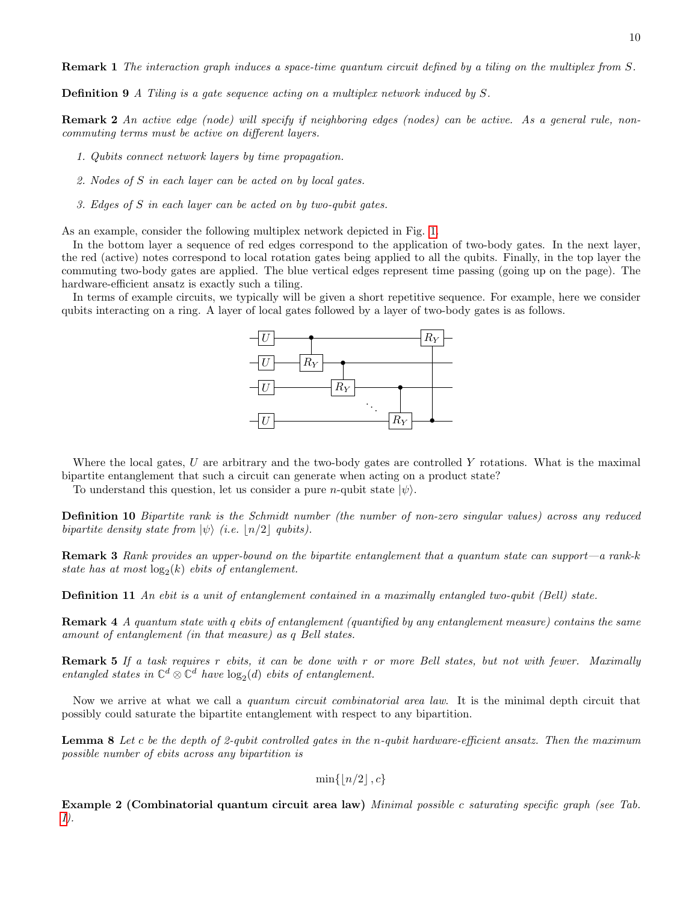Remark 1 The interaction graph induces a space-time quantum circuit defined by a tiling on the multiplex from S.

Definition 9 A Tiling is a gate sequence acting on a multiplex network induced by S.

Remark 2 An active edge (node) will specify if neighboring edges (nodes) can be active. As a general rule, noncommuting terms must be active on different layers.

- 1. Qubits connect network layers by time propagation.
- 2. Nodes of S in each layer can be acted on by local gates.
- 3. Edges of S in each layer can be acted on by two-qubit gates.

As an example, consider the following multiplex network depicted in Fig. [1.](#page-10-0)

In the bottom layer a sequence of red edges correspond to the application of two-body gates. In the next layer, the red (active) notes correspond to local rotation gates being applied to all the qubits. Finally, in the top layer the commuting two-body gates are applied. The blue vertical edges represent time passing (going up on the page). The hardware-efficient ansatz is exactly such a tiling.

In terms of example circuits, we typically will be given a short repetitive sequence. For example, here we consider qubits interacting on a ring. A layer of local gates followed by a layer of two-body gates is as follows.



Where the local gates,  $U$  are arbitrary and the two-body gates are controlled  $Y$  rotations. What is the maximal bipartite entanglement that such a circuit can generate when acting on a product state?

To understand this question, let us consider a pure *n*-qubit state  $|\psi\rangle$ .

Definition 10 Bipartite rank is the Schmidt number (the number of non-zero singular values) across any reduced bipartite density state from  $|\psi\rangle$  (i.e.  $|n/2|$  qubits).

Remark 3 Rank provides an upper-bound on the bipartite entanglement that a quantum state can support—a rank-k state has at most  $log_2(k)$  ebits of entanglement.

**Definition 11** An ebit is a unit of entanglement contained in a maximally entangled two-qubit (Bell) state.

Remark 4 A quantum state with q ebits of entanglement (quantified by any entanglement measure) contains the same amount of entanglement (in that measure) as q Bell states.

Remark 5 If a task requires r ebits, it can be done with r or more Bell states, but not with fewer. Maximally entangled states in  $\mathbb{C}^d \otimes \mathbb{C}^d$  have  $\log_2(d)$  ebits of entanglement.

Now we arrive at what we call a quantum circuit combinatorial area law. It is the minimal depth circuit that possibly could saturate the bipartite entanglement with respect to any bipartition.

Lemma 8 Let c be the depth of 2-qubit controlled gates in the n-qubit hardware-efficient ansatz. Then the maximum possible number of ebits across any bipartition is

 $\min\{|n/2|, c\}$ 

Example 2 (Combinatorial quantum circuit area law) Minimal possible c saturating specific graph (see Tab. [I\)](#page-11-0).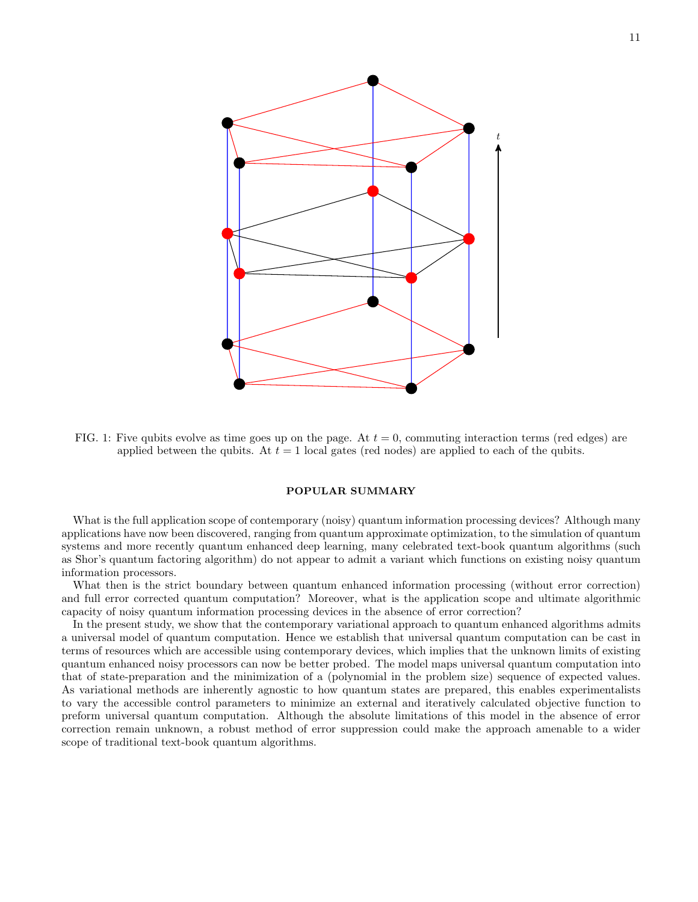<span id="page-10-0"></span>

FIG. 1: Five qubits evolve as time goes up on the page. At  $t = 0$ , commuting interaction terms (red edges) are applied between the qubits. At  $t = 1$  local gates (red nodes) are applied to each of the qubits.

### POPULAR SUMMARY

What is the full application scope of contemporary (noisy) quantum information processing devices? Although many applications have now been discovered, ranging from quantum approximate optimization, to the simulation of quantum systems and more recently quantum enhanced deep learning, many celebrated text-book quantum algorithms (such as Shor's quantum factoring algorithm) do not appear to admit a variant which functions on existing noisy quantum information processors.

What then is the strict boundary between quantum enhanced information processing (without error correction) and full error corrected quantum computation? Moreover, what is the application scope and ultimate algorithmic capacity of noisy quantum information processing devices in the absence of error correction?

In the present study, we show that the contemporary variational approach to quantum enhanced algorithms admits a universal model of quantum computation. Hence we establish that universal quantum computation can be cast in terms of resources which are accessible using contemporary devices, which implies that the unknown limits of existing quantum enhanced noisy processors can now be better probed. The model maps universal quantum computation into that of state-preparation and the minimization of a (polynomial in the problem size) sequence of expected values. As variational methods are inherently agnostic to how quantum states are prepared, this enables experimentalists to vary the accessible control parameters to minimize an external and iteratively calculated objective function to preform universal quantum computation. Although the absolute limitations of this model in the absence of error correction remain unknown, a robust method of error suppression could make the approach amenable to a wider scope of traditional text-book quantum algorithms.